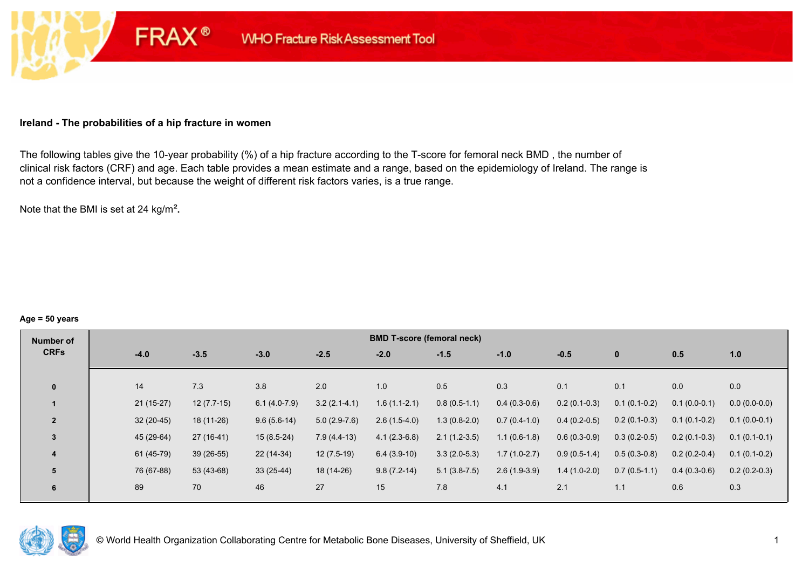#### **Ireland - The probabilities of a hip fracture in women**

**FRAX®** 

The following tables give the 10-year probability (%) of a hip fracture according to the T-score for femoral neck BMD , the number of clinical risk factors (CRF) and age. Each table provides a mean estimate and a range, based on the epidemiology of Ireland. The range is not a confidence interval, but because the weight of different risk factors varies, is a true range.

Note that the BMI is set at 24 kg/m²**.** 

#### **Age = 50 years**

| Number of      |             |              |                |                | <b>BMD T-score (femoral neck)</b> |                |                |                |                |                |                |
|----------------|-------------|--------------|----------------|----------------|-----------------------------------|----------------|----------------|----------------|----------------|----------------|----------------|
| <b>CRFs</b>    | $-4.0$      | $-3.5$       | $-3.0$         | $-2.5$         | $-2.0$                            | $-1.5$         | $-1.0$         | $-0.5$         | $\mathbf{0}$   | 0.5            | 1.0            |
|                |             |              |                |                |                                   |                |                |                |                |                |                |
| $\mathbf{0}$   | 14          | 7.3          | 3.8            | 2.0            | 1.0                               | 0.5            | 0.3            | 0.1            | 0.1            | 0.0            | 0.0            |
|                | $21(15-27)$ | $12(7.7-15)$ | $6.1(4.0-7.9)$ | $3.2(2.1-4.1)$ | $1.6(1.1-2.1)$                    | $0.8(0.5-1.1)$ | $0.4(0.3-0.6)$ | $0.2(0.1-0.3)$ | $0.1(0.1-0.2)$ | $0.1(0.0-0.1)$ | $0.0(0.0-0.0)$ |
| $\overline{2}$ | $32(20-45)$ | 18 (11-26)   | $9.6(5.6-14)$  | $5.0(2.9-7.6)$ | $2.6(1.5-4.0)$                    | $1.3(0.8-2.0)$ | $0.7(0.4-1.0)$ | $0.4(0.2-0.5)$ | $0.2(0.1-0.3)$ | $0.1(0.1-0.2)$ | $0.1(0.0-0.1)$ |
| 3              | 45 (29-64)  | $27(16-41)$  | $15(8.5-24)$   | $7.9(4.4-13)$  | $4.1(2.3-6.8)$                    | $2.1(1.2-3.5)$ | $1.1(0.6-1.8)$ | $0.6(0.3-0.9)$ | $0.3(0.2-0.5)$ | $0.2(0.1-0.3)$ | $0.1(0.1-0.1)$ |
| 4              | 61 (45-79)  | $39(26-55)$  | 22 (14-34)     | $12(7.5-19)$   | $6.4(3.9-10)$                     | $3.3(2.0-5.3)$ | $1.7(1.0-2.7)$ | $0.9(0.5-1.4)$ | $0.5(0.3-0.8)$ | $0.2(0.2-0.4)$ | $0.1(0.1-0.2)$ |
| 5              | 76 (67-88)  | 53 (43-68)   | $33(25-44)$    | 18 (14-26)     | $9.8(7.2-14)$                     | $5.1(3.8-7.5)$ | $2.6(1.9-3.9)$ | $1.4(1.0-2.0)$ | $0.7(0.5-1.1)$ | $0.4(0.3-0.6)$ | $0.2(0.2-0.3)$ |
| 6              | 89          | 70           | 46             | 27             | 15                                | 7.8            | 4.1            | 2.1            | 1.1            | 0.6            | 0.3            |

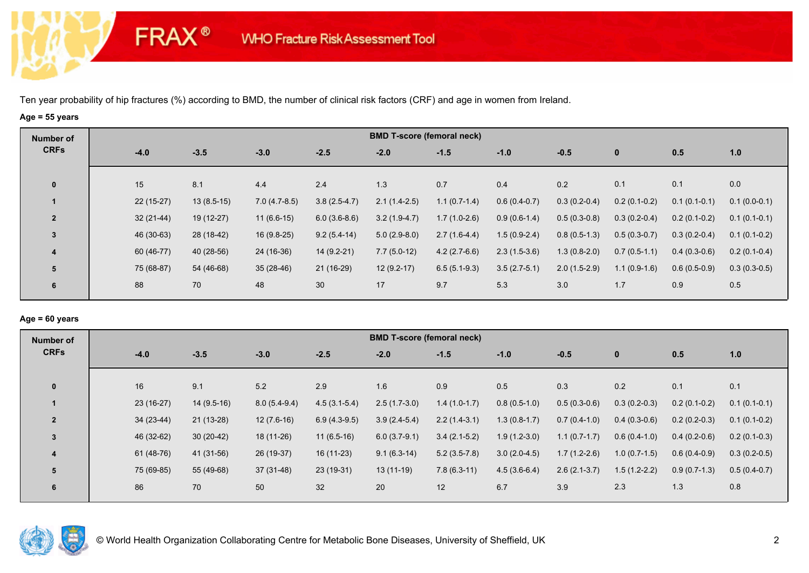**FRAX®** 

# **Age = 55 years**

| Number of               |             |              |                |                | <b>BMD T-score (femoral neck)</b> |                |                |                |                |                |                |
|-------------------------|-------------|--------------|----------------|----------------|-----------------------------------|----------------|----------------|----------------|----------------|----------------|----------------|
| <b>CRFs</b>             | $-4.0$      | $-3.5$       | $-3.0$         | $-2.5$         | $-2.0$                            | $-1.5$         | $-1.0$         | $-0.5$         | $\bf{0}$       | 0.5            | 1.0            |
| $\mathbf 0$             | 15          | 8.1          | 4.4            | 2.4            | 1.3                               | 0.7            | 0.4            | 0.2            | 0.1            | 0.1            | 0.0            |
|                         | $22(15-27)$ | $13(8.5-15)$ | $7.0(4.7-8.5)$ | $3.8(2.5-4.7)$ | $2.1(1.4-2.5)$                    | $1.1(0.7-1.4)$ | $0.6(0.4-0.7)$ | $0.3(0.2-0.4)$ | $0.2(0.1-0.2)$ | $0.1(0.1-0.1)$ | $0.1(0.0-0.1)$ |
| $\overline{2}$          | $32(21-44)$ | 19 (12-27)   | $11(6.6-15)$   | $6.0(3.6-8.6)$ | $3.2(1.9-4.7)$                    | $1.7(1.0-2.6)$ | $0.9(0.6-1.4)$ | $0.5(0.3-0.8)$ | $0.3(0.2-0.4)$ | $0.2(0.1-0.2)$ | $0.1(0.1-0.1)$ |
| 3                       | 46 (30-63)  | 28 (18-42)   | $16(9.8-25)$   | $9.2(5.4-14)$  | $5.0(2.9-8.0)$                    | $2.7(1.6-4.4)$ | $1.5(0.9-2.4)$ | $0.8(0.5-1.3)$ | $0.5(0.3-0.7)$ | $0.3(0.2-0.4)$ | $0.1(0.1-0.2)$ |
| $\overline{\mathbf{4}}$ | 60 (46-77)  | 40 (28-56)   | 24 (16-36)     | $14(9.2-21)$   | $7.7(5.0-12)$                     | $4.2(2.7-6.6)$ | $2.3(1.5-3.6)$ | $1.3(0.8-2.0)$ | $0.7(0.5-1.1)$ | $0.4(0.3-0.6)$ | $0.2(0.1-0.4)$ |
| 5                       | 75 (68-87)  | 54 (46-68)   | $35(28-46)$    | 21 (16-29)     | $12(9.2-17)$                      | $6.5(5.1-9.3)$ | $3.5(2.7-5.1)$ | $2.0(1.5-2.9)$ | $1.1(0.9-1.6)$ | $0.6(0.5-0.9)$ | $0.3(0.3-0.5)$ |
| 6                       | 88          | 70           | 48             | 30             | 17                                | 9.7            | 5.3            | 3.0            | 1.7            | 0.9            | 0.5            |

## **Age = 60 years**

| Number of      |             |              |                |                | <b>BMD T-score (femoral neck)</b> |                |                |                |                |                |                |
|----------------|-------------|--------------|----------------|----------------|-----------------------------------|----------------|----------------|----------------|----------------|----------------|----------------|
| <b>CRFs</b>    | $-4.0$      | $-3.5$       | $-3.0$         | $-2.5$         | $-2.0$                            | $-1.5$         | $-1.0$         | $-0.5$         | $\mathbf{0}$   | 0.5            | 1.0            |
|                |             |              |                |                |                                   |                |                |                |                |                |                |
| $\mathbf 0$    | 16          | 9.1          | 5.2            | 2.9            | 1.6                               | 0.9            | 0.5            | 0.3            | 0.2            | 0.1            | 0.1            |
|                | 23 (16-27)  | $14(9.5-16)$ | $8.0(5.4-9.4)$ | $4.5(3.1-5.4)$ | $2.5(1.7-3.0)$                    | $1.4(1.0-1.7)$ | $0.8(0.5-1.0)$ | $0.5(0.3-0.6)$ | $0.3(0.2-0.3)$ | $0.2(0.1-0.2)$ | $0.1(0.1-0.1)$ |
| $\overline{2}$ | $34(23-44)$ | $21(13-28)$  | $12(7.6-16)$   | $6.9(4.3-9.5)$ | $3.9(2.4-5.4)$                    | $2.2(1.4-3.1)$ | $1.3(0.8-1.7)$ | $0.7(0.4-1.0)$ | $0.4(0.3-0.6)$ | $0.2(0.2-0.3)$ | $0.1(0.1-0.2)$ |
| 3              | 46 (32-62)  | $30(20-42)$  | $18(11-26)$    | $11(6.5-16)$   | $6.0(3.7-9.1)$                    | $3.4(2.1-5.2)$ | $1.9(1.2-3.0)$ | $1.1(0.7-1.7)$ | $0.6(0.4-1.0)$ | $0.4(0.2-0.6)$ | $0.2(0.1-0.3)$ |
| $\overline{4}$ | 61 (48-76)  | 41 (31-56)   | 26 (19-37)     | $16(11-23)$    | $9.1(6.3-14)$                     | $5.2(3.5-7.8)$ | $3.0(2.0-4.5)$ | $1.7(1.2-2.6)$ | $1.0(0.7-1.5)$ | $0.6(0.4-0.9)$ | $0.3(0.2-0.5)$ |
| 5              | 75 (69-85)  | 55 (49-68)   | $37(31-48)$    | $23(19-31)$    | $13(11-19)$                       | $7.8(6.3-11)$  | $4.5(3.6-6.4)$ | $2.6(2.1-3.7)$ | $1.5(1.2-2.2)$ | $0.9(0.7-1.3)$ | $0.5(0.4-0.7)$ |
| 6              | 86          | 70           | 50             | 32             | 20                                | 12             | 6.7            | 3.9            | 2.3            | 1.3            | 0.8            |
|                |             |              |                |                |                                   |                |                |                |                |                |                |

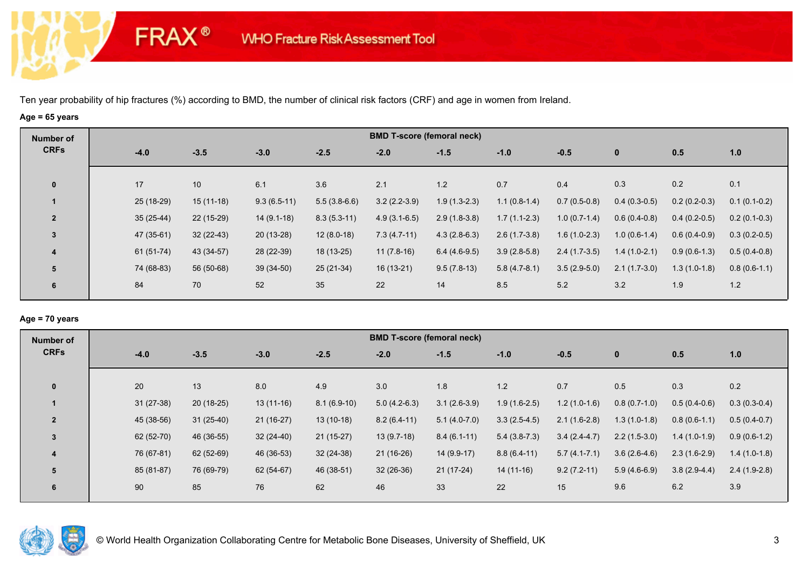**FRAX®** 

# **Age = 65 years**

| Number of      |             |                 |               |                |                | <b>BMD T-score (femoral neck)</b> |                |                |                |                |                |
|----------------|-------------|-----------------|---------------|----------------|----------------|-----------------------------------|----------------|----------------|----------------|----------------|----------------|
| <b>CRFs</b>    | $-4.0$      | $-3.5$          | $-3.0$        | $-2.5$         | $-2.0$         | $-1.5$                            | $-1.0$         | $-0.5$         | $\bf{0}$       | 0.5            | 1.0            |
| $\mathbf 0$    | 17          | 10 <sup>1</sup> | 6.1           | 3.6            | 2.1            | 1.2                               | 0.7            | 0.4            | 0.3            | 0.2            | 0.1            |
|                | $25(18-29)$ | $15(11-18)$     | $9.3(6.5-11)$ | $5.5(3.8-6.6)$ | $3.2(2.2-3.9)$ | $1.9(1.3-2.3)$                    | $1.1(0.8-1.4)$ | $0.7(0.5-0.8)$ | $0.4(0.3-0.5)$ | $0.2(0.2-0.3)$ | $0.1(0.1-0.2)$ |
| $\overline{2}$ | $35(25-44)$ | 22 (15-29)      | $14(9.1-18)$  | $8.3(5.3-11)$  | $4.9(3.1-6.5)$ | $2.9(1.8-3.8)$                    | $1.7(1.1-2.3)$ | $1.0(0.7-1.4)$ | $0.6(0.4-0.8)$ | $0.4(0.2-0.5)$ | $0.2(0.1-0.3)$ |
| $\overline{3}$ | 47 (35-61)  | $32(22-43)$     | $20(13-28)$   | $12(8.0-18)$   | $7.3(4.7-11)$  | $4.3(2.8-6.3)$                    | $2.6(1.7-3.8)$ | $1.6(1.0-2.3)$ | $1.0(0.6-1.4)$ | $0.6(0.4-0.9)$ | $0.3(0.2-0.5)$ |
| 4              | 61 (51-74)  | 43 (34-57)      | 28 (22-39)    | 18 (13-25)     | $11(7.8-16)$   | $6.4(4.6-9.5)$                    | $3.9(2.8-5.8)$ | $2.4(1.7-3.5)$ | $1.4(1.0-2.1)$ | $0.9(0.6-1.3)$ | $0.5(0.4-0.8)$ |
| 5              | 74 (68-83)  | 56 (50-68)      | $39(34-50)$   | $25(21-34)$    | 16 (13-21)     | $9.5(7.8-13)$                     | $5.8(4.7-8.1)$ | $3.5(2.9-5.0)$ | $2.1(1.7-3.0)$ | $1.3(1.0-1.8)$ | $0.8(0.6-1.1)$ |
| 6              | 84          | 70              | 52            | 35             | 22             | 14                                | 8.5            | 5.2            | 3.2            | 1.9            | 1.2            |

## **Age = 70 years**

| Number of      |             |             |             |               | <b>BMD T-score (femoral neck)</b> |                |                |                |                |                |                |
|----------------|-------------|-------------|-------------|---------------|-----------------------------------|----------------|----------------|----------------|----------------|----------------|----------------|
| <b>CRFs</b>    | $-4.0$      | $-3.5$      | $-3.0$      | $-2.5$        | $-2.0$                            | $-1.5$         | $-1.0$         | $-0.5$         | $\mathbf 0$    | 0.5            | 1.0            |
|                |             |             |             |               |                                   |                |                |                |                |                |                |
| $\mathbf{0}$   | 20          | 13          | 8.0         | 4.9           | 3.0                               | 1.8            | 1.2            | 0.7            | 0.5            | 0.3            | 0.2            |
|                | $31(27-38)$ | $20(18-25)$ | $13(11-16)$ | $8.1(6.9-10)$ | $5.0(4.2-6.3)$                    | $3.1(2.6-3.9)$ | $1.9(1.6-2.5)$ | $1.2(1.0-1.6)$ | $0.8(0.7-1.0)$ | $0.5(0.4-0.6)$ | $0.3(0.3-0.4)$ |
| $\overline{2}$ | 45 (38-56)  | $31(25-40)$ | $21(16-27)$ | $13(10-18)$   | $8.2(6.4-11)$                     | $5.1(4.0-7.0)$ | $3.3(2.5-4.5)$ | $2.1(1.6-2.8)$ | $1.3(1.0-1.8)$ | $0.8(0.6-1.1)$ | $0.5(0.4-0.7)$ |
| $\overline{3}$ | 62 (52-70)  | 46 (36-55)  | $32(24-40)$ | $21(15-27)$   | $13(9.7-18)$                      | $8.4(6.1-11)$  | $5.4(3.8-7.3)$ | $3.4(2.4-4.7)$ | $2.2(1.5-3.0)$ | $1.4(1.0-1.9)$ | $0.9(0.6-1.2)$ |
| 4              | 76 (67-81)  | 62 (52-69)  | 46 (36-53)  | $32(24-38)$   | $21(16-26)$                       | $14(9.9-17)$   | $8.8(6.4-11)$  | $5.7(4.1-7.1)$ | $3.6(2.6-4.6)$ | $2.3(1.6-2.9)$ | $1.4(1.0-1.8)$ |
| 5              | 85 (81-87)  | 76 (69-79)  | 62 (54-67)  | 46 (38-51)    | $32(26-36)$                       | $21(17-24)$    | $14(11-16)$    | $9.2(7.2-11)$  | $5.9(4.6-6.9)$ | $3.8(2.9-4.4)$ | $2.4(1.9-2.8)$ |
| 6              | 90          | 85          | 76          | 62            | 46                                | 33             | 22             | 15             | 9.6            | 6.2            | 3.9            |

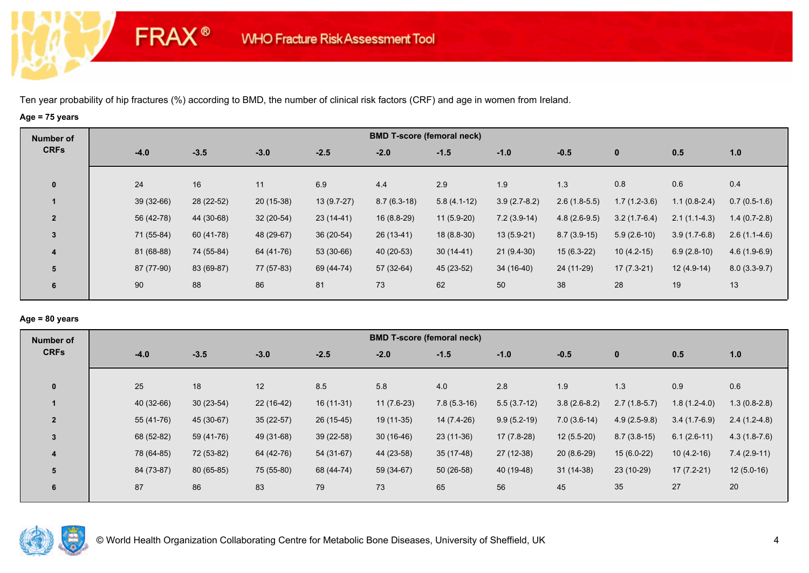**FRAX®** 

# **Age = 75 years**

| Number of      |            |            |             |              |               | <b>BMD T-score (femoral neck)</b> |                |                |                |                |                |
|----------------|------------|------------|-------------|--------------|---------------|-----------------------------------|----------------|----------------|----------------|----------------|----------------|
| <b>CRFs</b>    | $-4.0$     | $-3.5$     | $-3.0$      | $-2.5$       | $-2.0$        | $-1.5$                            | $-1.0$         | $-0.5$         | $\bf{0}$       | 0.5            | 1.0            |
| $\mathbf 0$    | 24         | 16         | 11          | 6.9          | 4.4           | 2.9                               | 1.9            | 1.3            | 0.8            | 0.6            | 0.4            |
|                | 39 (32-66) | 28 (22-52) | $20(15-38)$ | $13(9.7-27)$ | $8.7(6.3-18)$ | $5.8(4.1-12)$                     | $3.9(2.7-8.2)$ | $2.6(1.8-5.5)$ | $1.7(1.2-3.6)$ | $1.1(0.8-2.4)$ | $0.7(0.5-1.6)$ |
| $\overline{2}$ | 56 (42-78) | 44 (30-68) | $32(20-54)$ | $23(14-41)$  | 16 (8.8-29)   | $11(5.9-20)$                      | $7.2(3.9-14)$  | $4.8(2.6-9.5)$ | $3.2(1.7-6.4)$ | $2.1(1.1-4.3)$ | $1.4(0.7-2.8)$ |
| 3              | 71 (55-84) | 60 (41-78) | 48 (29-67)  | $36(20-54)$  | 26 (13-41)    | $18(8.8-30)$                      | $13(5.9-21)$   | $8.7(3.9-15)$  | $5.9(2.6-10)$  | $3.9(1.7-6.8)$ | $2.6(1.1-4.6)$ |
| 4              | 81 (68-88) | 74 (55-84) | 64 (41-76)  | 53 (30-66)   | 40 (20-53)    | $30(14-41)$                       | $21(9.4-30)$   | $15(6.3-22)$   | $10(4.2-15)$   | $6.9(2.8-10)$  | $4.6(1.9-6.9)$ |
| 5              | 87 (77-90) | 83 (69-87) | 77 (57-83)  | 69 (44-74)   | 57 (32-64)    | 45 (23-52)                        | 34 (16-40)     | 24 (11-29)     | $17(7.3-21)$   | $12(4.9-14)$   | $8.0(3.3-9.7)$ |
| 6              | 90         | 88         | 86          | 81           | 73            | 62                                | 50             | 38             | 28             | 19             | 13             |

## **Age = 80 years**

| $-3.5$<br>$-3.0$<br>$-4.0$               | $-1.5$<br>0.5<br>$-1.0$<br>$-0.5$<br>$\mathbf 0$                                     |                |
|------------------------------------------|--------------------------------------------------------------------------------------|----------------|
|                                          |                                                                                      | 1.0            |
|                                          |                                                                                      |                |
|                                          |                                                                                      |                |
| 40 (32-66)<br>$30(23-54)$<br>$22(16-42)$ | $7.8(5.3-16)$<br>$5.5(3.7-12)$<br>$3.8(2.6-8.2)$<br>$2.7(1.8-5.7)$<br>$1.8(1.2-4.0)$ | $1.3(0.8-2.8)$ |
| 45 (30-67)<br>$35(22-57)$<br>55 (41-76)  | $9.9(5.2-19)$<br>14 (7.4-26)<br>$7.0(3.6-14)$<br>$4.9(2.5-9.8)$<br>$3.4(1.7-6.9)$    | $2.4(1.2-4.8)$ |
| 68 (52-82)<br>49 (31-68)<br>59 (41-76)   | $23(11-36)$<br>$17(7.8-28)$<br>$12(5.5-20)$<br>$8.7(3.8-15)$<br>$6.1(2.6-11)$        | $4.3(1.8-7.6)$ |
| 78 (64-85)<br>72 (53-82)<br>64 (42-76)   | 35 (17-48)<br>27 (12-38)<br>$20(8.6-29)$<br>$15(6.0-22)$<br>$10(4.2-16)$             | $7.4(2.9-11)$  |
| 84 (73-87)<br>80 (65-85)<br>75 (55-80)   | $50(26-58)$<br>40 (19-48)<br>$31(14-38)$<br>23 (10-29)<br>$17(7.2-21)$               | $12(5.0-16)$   |
| 83<br>87<br>86                           | 56<br>45<br>35<br>27                                                                 | 20             |
| 25<br>18<br>12                           | 1.3<br>0.9<br>2.8<br>4.0<br>1.9                                                      | 0.6            |